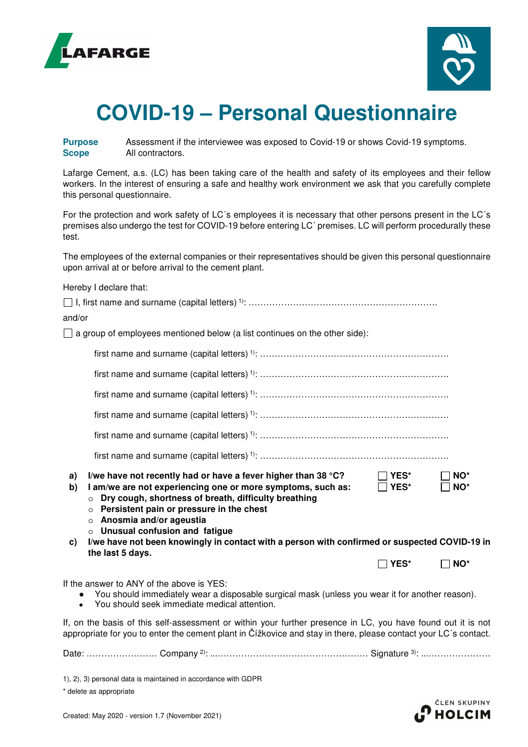



## **COVID-19 – Personal Questionnaire**

**Purpose** Assessment if the interviewee was exposed to Covid-19 or shows Covid-19 symptoms. **Scope** All contractors.

Lafarge Cement, a.s. (LC) has been taking care of the health and safety of its employees and their fellow workers. In the interest of ensuring a safe and healthy work environment we ask that you carefully complete this personal questionnaire.

For the protection and work safety of LC´s employees it is necessary that other persons present in the LC´s premises also undergo the test for COVID-19 before entering LC´ premises. LC will perform procedurally these test.

The employees of the external companies or their representatives should be given this personal questionnaire upon arrival at or before arrival to the cement plant.

| Hereby I declare that:                                                                                                                                                                                                                                                                                                                                                                                                                                                                   |      |              |
|------------------------------------------------------------------------------------------------------------------------------------------------------------------------------------------------------------------------------------------------------------------------------------------------------------------------------------------------------------------------------------------------------------------------------------------------------------------------------------------|------|--------------|
|                                                                                                                                                                                                                                                                                                                                                                                                                                                                                          |      |              |
| and/or                                                                                                                                                                                                                                                                                                                                                                                                                                                                                   |      |              |
| $\Box$ a group of employees mentioned below (a list continues on the other side):                                                                                                                                                                                                                                                                                                                                                                                                        |      |              |
|                                                                                                                                                                                                                                                                                                                                                                                                                                                                                          |      |              |
|                                                                                                                                                                                                                                                                                                                                                                                                                                                                                          |      |              |
|                                                                                                                                                                                                                                                                                                                                                                                                                                                                                          |      |              |
|                                                                                                                                                                                                                                                                                                                                                                                                                                                                                          |      |              |
|                                                                                                                                                                                                                                                                                                                                                                                                                                                                                          |      |              |
|                                                                                                                                                                                                                                                                                                                                                                                                                                                                                          |      |              |
| I/we have not recently had or have a fever higher than 38 °C?<br>$\Box$ YES*<br>a)<br>I am/we are not experiencing one or more symptoms, such as:<br>$\Box$ YES*<br>b)<br>Dry cough, shortness of breath, difficulty breathing<br>$\circ$<br>o Persistent pain or pressure in the chest<br>o Anosmia and/or ageustia<br>$\circ$ Unusual confusion and fatigue<br>I/we have not been knowingly in contact with a person with confirmed or suspected COVID-19 in<br>C)<br>the last 5 days. |      | NO*<br>NO*   |
|                                                                                                                                                                                                                                                                                                                                                                                                                                                                                          | YES* | $\sqcap$ NO* |
| If the answer to ANY of the above is YES:<br>You should immediately wear a disposable surgical mask (unless you wear it for another reason).<br>$\bullet$<br>You should seek immediate medical attention.<br>$\bullet$                                                                                                                                                                                                                                                                   |      |              |
| If, on the basis of this self-assessment or within your further presence in LC, you have found out it is not<br>appropriate for you to enter the cement plant in Čížkovice and stay in there, please contact your LC's contact.                                                                                                                                                                                                                                                          |      |              |
|                                                                                                                                                                                                                                                                                                                                                                                                                                                                                          |      |              |

1), 2), 3) personal data is maintained in accordance with GDPR

\* delete as appropriate